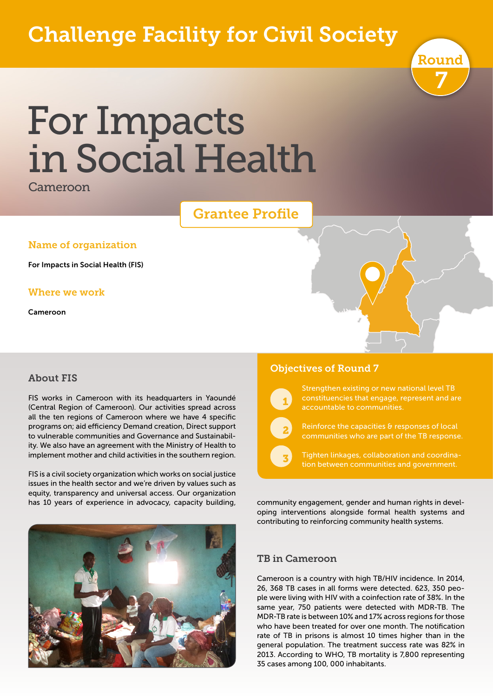# Challenge Facility for Civil Society



# For Impacts in Social Health

Cameroon

## Grantee Profile

#### Name of organization

For Impacts in Social Health (FIS)

#### Where we work

Cameroon

#### About FIS

FIS works in Cameroon with its headquarters in Yaoundé (Central Region of Cameroon). Our activities spread across all the ten regions of Cameroon where we have 4 specific programs on; aid efficiency Demand creation, Direct support to vulnerable communities and Governance and Sustainability. We also have an agreement with the Ministry of Health to implement mother and child activities in the southern region.

FIS is a civil society organization which works on social justice issues in the health sector and we're driven by values such as equity, transparency and universal access. Our organization has 10 years of experience in advocacy, capacity building,



#### Objectives of Round 7

 $\sqrt{1}$ 

 $\overline{\phantom{0}}$  2

 $\overline{\phantom{a}}$ 

Strengthen existing or new national level TB constituencies that engage, represent and are

Reinforce the capacities & responses of local communities who are part of the TB response.

Tighten linkages, collaboration and coordination between communities and government.

community engagement, gender and human rights in developing interventions alongside formal health systems and contributing to reinforcing community health systems.

#### TB in Cameroon

Cameroon is a country with high TB/HIV incidence. In 2014, 26, 368 TB cases in all forms were detected. 623, 350 people were living with HIV with a coinfection rate of 38%. In the same year, 750 patients were detected with MDR-TB. The MDR-TB rate is between 10% and 17% across regions for those who have been treated for over one month. The notification rate of TB in prisons is almost 10 times higher than in the general population. The treatment success rate was 82% in 2013. According to WHO, TB mortality is 7,800 representing 35 cases among 100, 000 inhabitants.